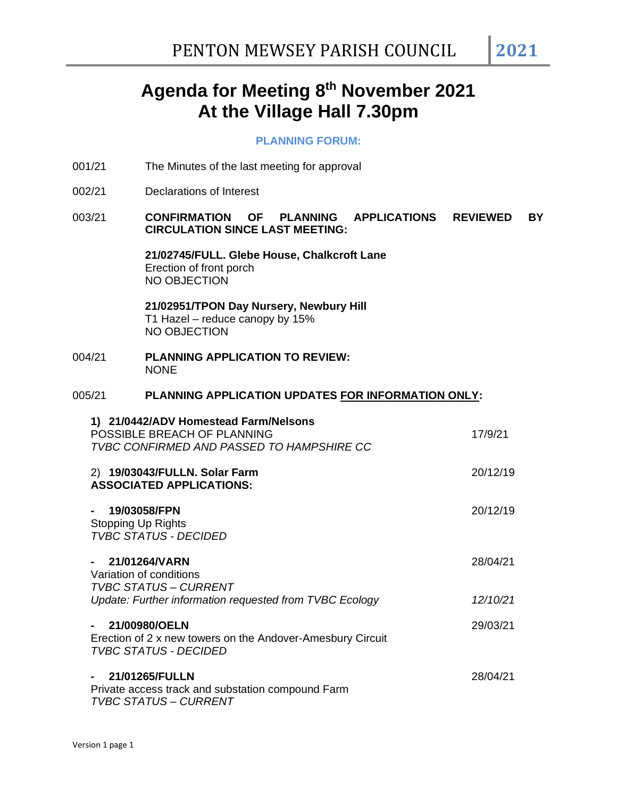# **Agenda for Meeting 8 th November 2021 At the Village Hall 7.30pm**

#### **PLANNING FORUM:**

- 001/21 The Minutes of the last meeting for approval
- 002/21 Declarations of Interest

## 003/21 **CONFIRMATION OF PLANNING APPLICATIONS REVIEWED BY CIRCULATION SINCE LAST MEETING:**

**21/02745/FULL. Glebe House, Chalkcroft Lane** Erection of front porch NO OBJECTION

**21/02951/TPON Day Nursery, Newbury Hill** T1 Hazel – reduce canopy by 15% NO OBJECTION

004/21 **PLANNING APPLICATION TO REVIEW: NONE** 

## 005/21 **PLANNING APPLICATION UPDATES FOR INFORMATION ONLY:**

| 1) 21/0442/ADV Homestead Farm/Nelsons<br>POSSIBLE BREACH OF PLANNING<br>TVBC CONFIRMED AND PASSED TO HAMPSHIRE CC | 17/9/21  |
|-------------------------------------------------------------------------------------------------------------------|----------|
| 2) 19/03043/FULLN. Solar Farm<br><b>ASSOCIATED APPLICATIONS:</b>                                                  | 20/12/19 |
| 19/03058/FPN<br>Stopping Up Rights<br><b>TVBC STATUS - DECIDED</b>                                                | 20/12/19 |
| 21/01264/VARN<br>Variation of conditions<br><b>TVBC STATUS - CURRENT</b>                                          | 28/04/21 |
| Update: Further information requested from TVBC Ecology                                                           | 12/10/21 |
| 21/00980/OELN<br>Erection of 2 x new towers on the Andover-Amesbury Circuit<br><b>TVBC STATUS - DECIDED</b>       | 29/03/21 |
| 21/01265/FULLN<br>Private access track and substation compound Farm<br><b>TVBC STATUS - CURRENT</b>               | 28/04/21 |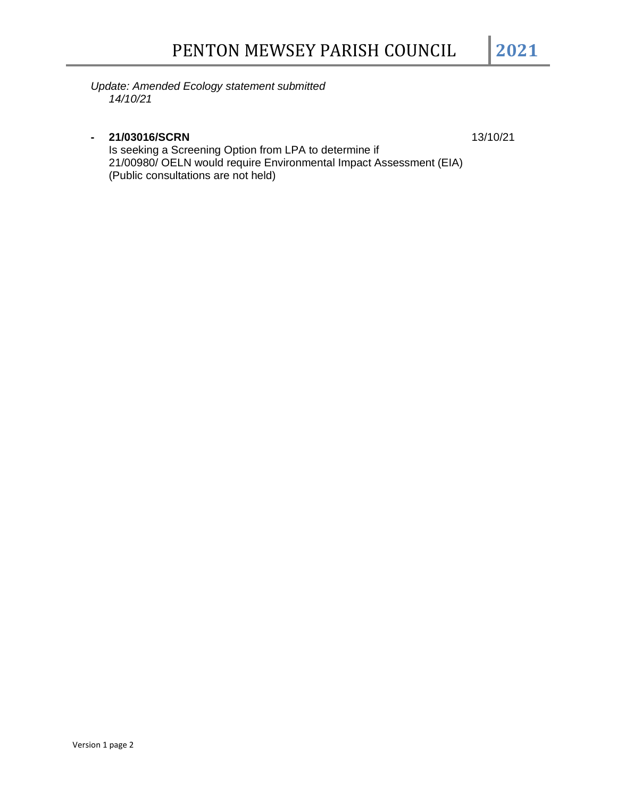*Update: Amended Ecology statement submitted 14/10/21*

## **- 21/03016/SCRN** 13/10/21

Is seeking a Screening Option from LPA to determine if 21/00980/ OELN would require Environmental Impact Assessment (EIA) (Public consultations are not held)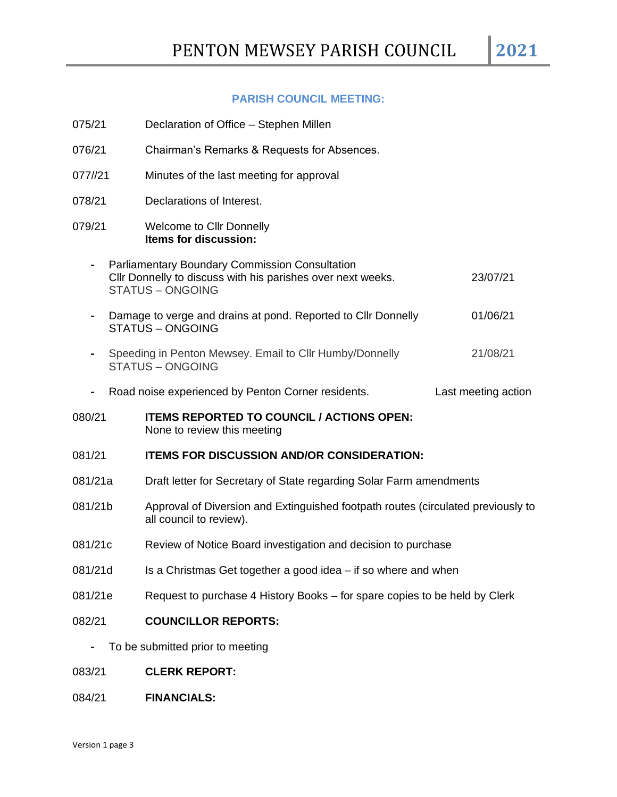## **PARISH COUNCIL MEETING:**

| 075/21                           |  | Declaration of Office – Stephen Millen                                                                                                          |                     |  |
|----------------------------------|--|-------------------------------------------------------------------------------------------------------------------------------------------------|---------------------|--|
| 076/21                           |  | Chairman's Remarks & Requests for Absences.                                                                                                     |                     |  |
| 077//21                          |  | Minutes of the last meeting for approval                                                                                                        |                     |  |
| 078/21                           |  | Declarations of Interest.                                                                                                                       |                     |  |
| 079/21                           |  | <b>Welcome to Cllr Donnelly</b><br>Items for discussion:                                                                                        |                     |  |
|                                  |  | <b>Parliamentary Boundary Commission Consultation</b><br>Cllr Donnelly to discuss with his parishes over next weeks.<br><b>STATUS - ONGOING</b> | 23/07/21            |  |
|                                  |  | Damage to verge and drains at pond. Reported to Cllr Donnelly<br><b>STATUS - ONGOING</b>                                                        | 01/06/21            |  |
|                                  |  | Speeding in Penton Mewsey. Email to Cllr Humby/Donnelly<br><b>STATUS - ONGOING</b>                                                              | 21/08/21            |  |
|                                  |  | Road noise experienced by Penton Corner residents.                                                                                              | Last meeting action |  |
| 080/21                           |  | <b>ITEMS REPORTED TO COUNCIL / ACTIONS OPEN:</b><br>None to review this meeting                                                                 |                     |  |
| 081/21                           |  | <b>ITEMS FOR DISCUSSION AND/OR CONSIDERATION:</b>                                                                                               |                     |  |
| 081/21a                          |  | Draft letter for Secretary of State regarding Solar Farm amendments                                                                             |                     |  |
| 081/21b                          |  | Approval of Diversion and Extinguished footpath routes (circulated previously to<br>all council to review).                                     |                     |  |
| 081/21c                          |  | Review of Notice Board investigation and decision to purchase                                                                                   |                     |  |
| 081/21d                          |  | Is a Christmas Get together a good idea – if so where and when                                                                                  |                     |  |
| 081/21e                          |  | Request to purchase 4 History Books – for spare copies to be held by Clerk                                                                      |                     |  |
| 082/21                           |  | <b>COUNCILLOR REPORTS:</b>                                                                                                                      |                     |  |
| To be submitted prior to meeting |  |                                                                                                                                                 |                     |  |

- 083/21 **CLERK REPORT:**
- 084/21 **FINANCIALS:**